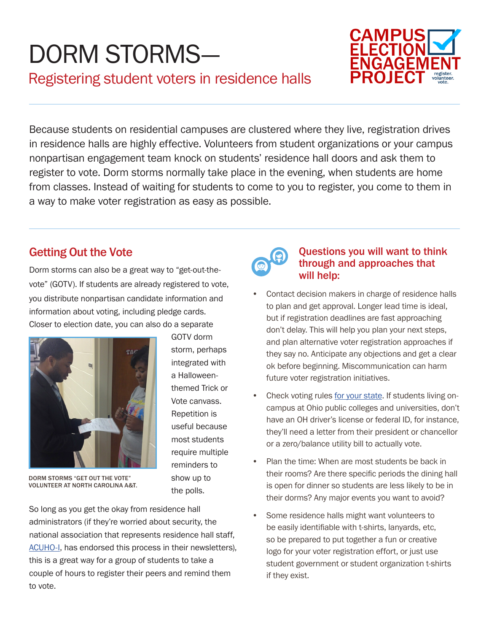## DORM STORMS— Registering student voters in residence halls



Because students on residential campuses are clustered where they live, registration drives in residence halls are highly effective. Volunteers from student organizations or your campus nonpartisan engagement team knock on students' residence hall doors and ask them to register to vote. Dorm storms normally take place in the evening, when students are home from classes. Instead of waiting for students to come to you to register, you come to them in a way to make voter registration as easy as possible.

## Getting Out the Vote

Dorm storms can also be a great way to "get-out-thevote" (GOTV). If students are already registered to vote, you distribute nonpartisan candidate information and information about voting, including pledge cards. Closer to election date, you can also do a separate



GOTV dorm storm, perhaps integrated with a Halloweenthemed Trick or Vote canvass. Repetition is useful because most students require multiple reminders to show up to the polls.

DORM STORMS "GET OUT THE VOTE" VOLUNTEER AT NORTH CAROLINA A&T.

So long as you get the okay from residence hall administrators (if they're worried about security, the national association that represents residence hall staff, [ACUHO-I](http://www.acuho-i.org), has endorsed this process in their newsletters), this is a great way for a group of students to take a couple of hours to register their peers and remind them to vote.



## Questions you will want to think through and approaches that will help:

- Contact decision makers in charge of residence halls to plan and get approval. Longer lead time is ideal, but if registration deadlines are fast approaching don't delay. This will help you plan your next steps, and plan alternative voter registration approaches if they say no. Anticipate any objections and get a clear ok before beginning. Miscommunication can harm future voter registration initiatives.
- Check voting rules [for your state.](http://campusvoteproject.org/studentguides/) If students living oncampus at Ohio public colleges and universities, don't have an OH driver's license or federal ID, for instance, they'll need a letter from their president or chancellor or a zero/balance utility bill to actually vote.
- Plan the time: When are most students be back in their rooms? Are there specific periods the dining hall is open for dinner so students are less likely to be in their dorms? Any major events you want to avoid?
- Some residence halls might want volunteers to be easily identifiable with t-shirts, lanyards, etc, so be prepared to put together a fun or creative logo for your voter registration effort, or just use student government or student organization t-shirts if they exist.